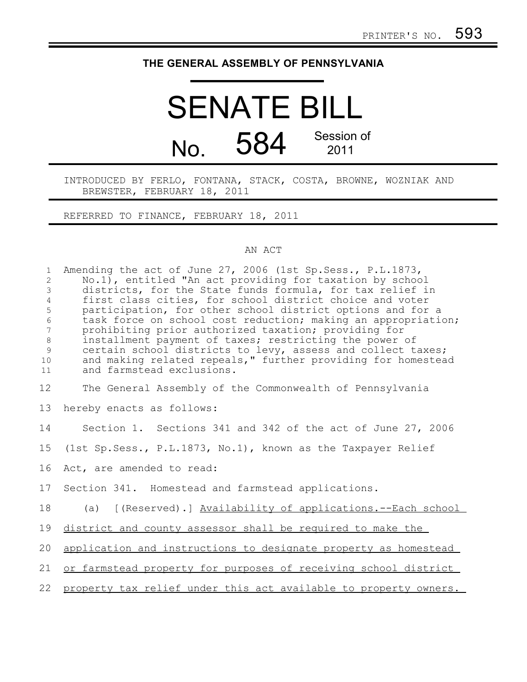# **THE GENERAL ASSEMBLY OF PENNSYLVANIA**

# SENATE BILL No. 584 Session of 2011

# INTRODUCED BY FERLO, FONTANA, STACK, COSTA, BROWNE, WOZNIAK AND BREWSTER, FEBRUARY 18, 2011

REFERRED TO FINANCE, FEBRUARY 18, 2011

### AN ACT

| $\mathbf{1}$<br>$\mathbf{2}$<br>3<br>$\overline{4}$<br>5<br>$\epsilon$<br>$7\phantom{.0}$<br>$8\,$<br>9<br>10<br>11 | Amending the act of June 27, 2006 (1st Sp. Sess., P.L.1873,<br>No.1), entitled "An act providing for taxation by school<br>districts, for the State funds formula, for tax relief in<br>first class cities, for school district choice and voter<br>participation, for other school district options and for a<br>task force on school cost reduction; making an appropriation;<br>prohibiting prior authorized taxation; providing for<br>installment payment of taxes; restricting the power of<br>certain school districts to levy, assess and collect taxes;<br>and making related repeals," further providing for homestead<br>and farmstead exclusions. |
|---------------------------------------------------------------------------------------------------------------------|---------------------------------------------------------------------------------------------------------------------------------------------------------------------------------------------------------------------------------------------------------------------------------------------------------------------------------------------------------------------------------------------------------------------------------------------------------------------------------------------------------------------------------------------------------------------------------------------------------------------------------------------------------------|
| 12                                                                                                                  | The General Assembly of the Commonwealth of Pennsylvania                                                                                                                                                                                                                                                                                                                                                                                                                                                                                                                                                                                                      |
| 13                                                                                                                  | hereby enacts as follows:                                                                                                                                                                                                                                                                                                                                                                                                                                                                                                                                                                                                                                     |
| 14                                                                                                                  | Section 1. Sections 341 and 342 of the act of June 27, 2006                                                                                                                                                                                                                                                                                                                                                                                                                                                                                                                                                                                                   |
| 15                                                                                                                  | (1st Sp. Sess., P.L.1873, No.1), known as the Taxpayer Relief                                                                                                                                                                                                                                                                                                                                                                                                                                                                                                                                                                                                 |
| 16                                                                                                                  | Act, are amended to read:                                                                                                                                                                                                                                                                                                                                                                                                                                                                                                                                                                                                                                     |
| 17                                                                                                                  | Section 341. Homestead and farmstead applications.                                                                                                                                                                                                                                                                                                                                                                                                                                                                                                                                                                                                            |
| 18                                                                                                                  | (a) [(Reserved).] Availability of applications.--Each school                                                                                                                                                                                                                                                                                                                                                                                                                                                                                                                                                                                                  |
| 19                                                                                                                  | district and county assessor shall be required to make the                                                                                                                                                                                                                                                                                                                                                                                                                                                                                                                                                                                                    |
| 20                                                                                                                  | application and instructions to designate property as homestead                                                                                                                                                                                                                                                                                                                                                                                                                                                                                                                                                                                               |
| 21                                                                                                                  | or farmstead property for purposes of receiving school district                                                                                                                                                                                                                                                                                                                                                                                                                                                                                                                                                                                               |
| 22                                                                                                                  | property tax relief under this act available to property owners.                                                                                                                                                                                                                                                                                                                                                                                                                                                                                                                                                                                              |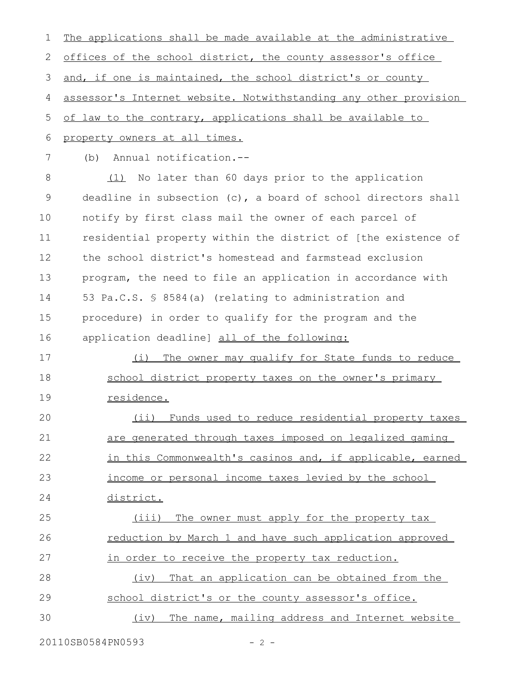The applications shall be made available at the administrative offices of the school district, the county assessor's office and, if one is maintained, the school district's or county assessor's Internet website. Notwithstanding any other provision of law to the contrary, applications shall be available to property owners at all times. (b) Annual notification.-- (1) No later than 60 days prior to the application deadline in subsection (c), a board of school directors shall notify by first class mail the owner of each parcel of residential property within the district of [the existence of the school district's homestead and farmstead exclusion program, the need to file an application in accordance with 53 Pa.C.S. § 8584(a) (relating to administration and procedure) in order to qualify for the program and the application deadline] all of the following: (i) The owner may qualify for State funds to reduce school district property taxes on the owner's primary residence. (ii) Funds used to reduce residential property taxes are generated through taxes imposed on legalized gaming in this Commonwealth's casinos and, if applicable, earned income or personal income taxes levied by the school district. (iii) The owner must apply for the property tax reduction by March 1 and have such application approved in order to receive the property tax reduction. (iv) That an application can be obtained from the school district's or the county assessor's office. (iv) The name, mailing address and Internet website 1 2 3 4 5 6 7 8 9 10 11 12 13 14 15 16 17 18 19 20 21 22 23 24 25 26 27 28 29 30

20110SB0584PN0593 - 2 -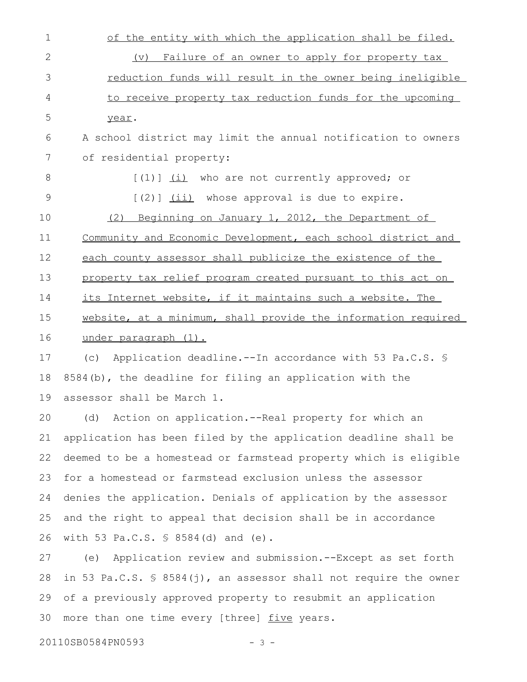| 1             | of the entity with which the application shall be filed.         |
|---------------|------------------------------------------------------------------|
| 2             | Failure of an owner to apply for property tax<br>$(\nabla)$      |
| 3             | reduction funds will result in the owner being ineligible        |
| 4             | to receive property tax reduction funds for the upcoming         |
| 5             | year.                                                            |
| 6             | A school district may limit the annual notification to owners    |
| 7             | of residential property:                                         |
| 8             | $[(1)]$ $(i)$ who are not currently approved; or                 |
| $\mathcal{G}$ | $[2]$ $(iii)$ whose approval is due to expire.                   |
| 10            | Beginning on January 1, 2012, the Department of<br>(2)           |
| 11            | Community and Economic Development, each school district and     |
| 12            | each county assessor shall publicize the existence of the        |
| 13            | property tax relief program created pursuant to this act on      |
| 14            | its Internet website, if it maintains such a website. The        |
| 15            | website, at a minimum, shall provide the information required    |
| 16            | under paragraph (1).                                             |
| 17            | (c) Application deadline.--In accordance with 53 Pa.C.S. \$      |
| 18            | $8584(b)$ , the deadline for filing an application with the      |
| 19            | assessor shall be March 1.                                       |
|               | 20 (d) Action on application.--Real property for which an        |
| 21            | application has been filed by the application deadline shall be  |
| 22            | deemed to be a homestead or farmstead property which is eligible |
| 23            | for a homestead or farmstead exclusion unless the assessor       |
| 24            | denies the application. Denials of application by the assessor   |

and the right to appeal that decision shall be in accordance with 53 Pa.C.S. § 8584(d) and (e). 25 26

(e) Application review and submission.--Except as set forth in 53 Pa.C.S. § 8584(j), an assessor shall not require the owner of a previously approved property to resubmit an application more than one time every [three] five years. 27 28 29 30

20110SB0584PN0593 - 3 -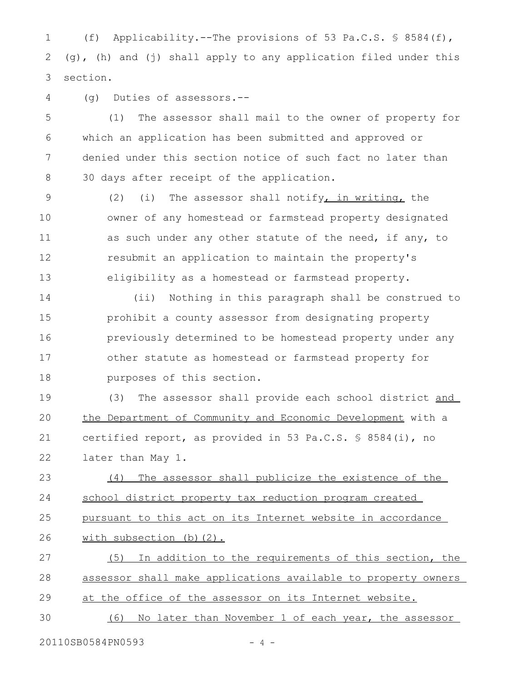(f) Applicability.--The provisions of 53 Pa.C.S. § 8584(f),  $(q)$ , (h) and (j) shall apply to any application filed under this section. 1 2 3

(g) Duties of assessors.-- 4

(1) The assessor shall mail to the owner of property for which an application has been submitted and approved or denied under this section notice of such fact no later than 30 days after receipt of the application. 5 6 7 8

(2) (i) The assessor shall notify, in writing, the owner of any homestead or farmstead property designated as such under any other statute of the need, if any, to resubmit an application to maintain the property's eligibility as a homestead or farmstead property. 9 10 11 12 13

(ii) Nothing in this paragraph shall be construed to prohibit a county assessor from designating property previously determined to be homestead property under any other statute as homestead or farmstead property for purposes of this section. 14 15 16 17 18

(3) The assessor shall provide each school district and the Department of Community and Economic Development with a certified report, as provided in 53 Pa.C.S. § 8584(i), no later than May 1. 19 20 21 22

(4) The assessor shall publicize the existence of the school district property tax reduction program created pursuant to this act on its Internet website in accordance with subsection (b)(2). 23 24 25 26

(5) In addition to the requirements of this section, the assessor shall make applications available to property owners at the office of the assessor on its Internet website. 27 28 29

(6) No later than November 1 of each year, the assessor 30

20110SB0584PN0593 - 4 -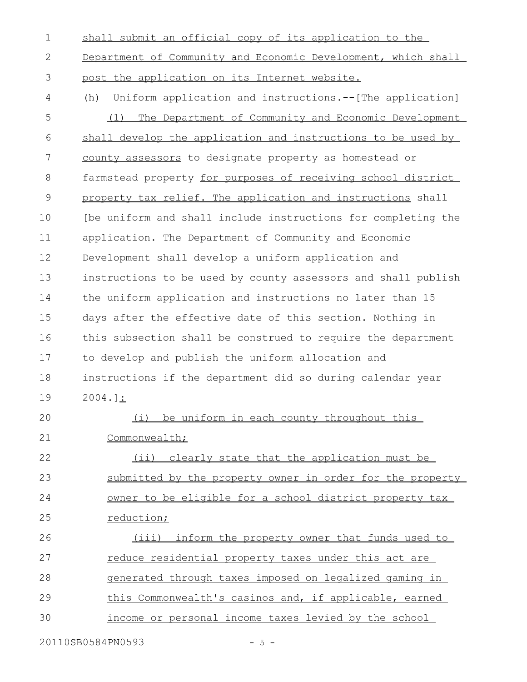shall submit an official copy of its application to the Department of Community and Economic Development, which shall post the application on its Internet website. (h) Uniform application and instructions.--[The application] (1) The Department of Community and Economic Development shall develop the application and instructions to be used by county assessors to designate property as homestead or farmstead property for purposes of receiving school district property tax relief. The application and instructions shall [be uniform and shall include instructions for completing the application. The Department of Community and Economic 1 2 3 4 5 6 7 8 9 10 11

Development shall develop a uniform application and instructions to be used by county assessors and shall publish the uniform application and instructions no later than 15 days after the effective date of this section. Nothing in this subsection shall be construed to require the department to develop and publish the uniform allocation and instructions if the department did so during calendar year 2004.]: 12 13 14 15 16 17 18 19

(i) be uniform in each county throughout this Commonwealth; (ii) clearly state that the application must be submitted by the property owner in order for the property owner to be eligible for a school district property tax reduction; (iii) inform the property owner that funds used to reduce residential property taxes under this act are generated through taxes imposed on legalized gaming in 20 21 22 23 24 25 26 27 28

this Commonwealth's casinos and, if applicable, earned 29

income or personal income taxes levied by the school 30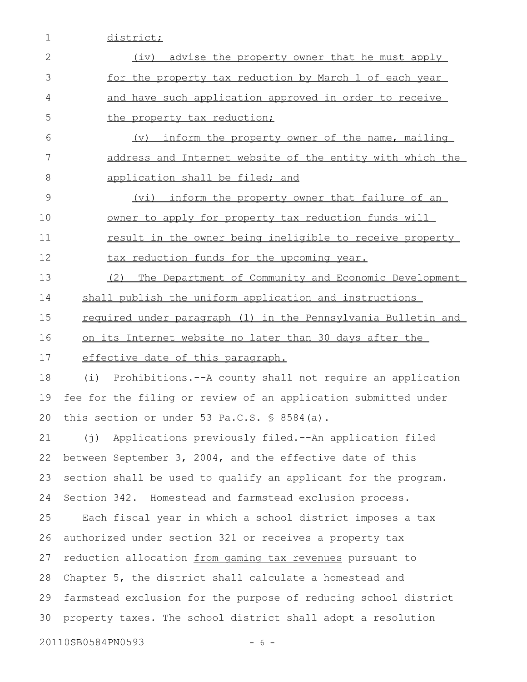1 district;

| $\mathbf{2}$ | (iv)<br>advise the property owner that he must apply                |
|--------------|---------------------------------------------------------------------|
| 3            | for the property tax reduction by March 1 of each year              |
| 4            | and have such application approved in order to receive              |
| 5            | the property tax reduction;                                         |
| 6            | inform the property owner of the name, mailing<br>$(\triangledown)$ |
| 7            | address and Internet website of the entity with which the           |
| 8            | application shall be filed; and                                     |
| 9            | inform the property owner that failure of an<br>(vi)                |
| 10           | owner to apply for property tax reduction funds will                |
| 11           | result in the owner being ineligible to receive property            |
| 12           | tax reduction funds for the upcoming year.                          |
| 13           | (2)<br>The Department of Community and Economic Development         |
| 14           | shall publish the uniform application and instructions              |
| 15           | required under paragraph (1) in the Pennsylvania Bulletin and       |
| 16           | on its Internet website no later than 30 days after the             |
| 17           | effective date of this paragraph.                                   |
| 18           | Prohibitions.--A county shall not require an application<br>(i)     |
| 19           | fee for the filing or review of an application submitted under      |
| 20           | this section or under 53 Pa.C.S. § 8584(a).                         |
| 21           | (j) Applications previously filed.--An application filed            |
| 22           | between September 3, 2004, and the effective date of this           |
| 23           | section shall be used to qualify an applicant for the program.      |
| 24           | Section 342. Homestead and farmstead exclusion process.             |
| 25           | Each fiscal year in which a school district imposes a tax           |
| 26           | authorized under section 321 or receives a property tax             |
| 27           | reduction allocation from gaming tax revenues pursuant to           |
| 28           | Chapter 5, the district shall calculate a homestead and             |
| 29           | farmstead exclusion for the purpose of reducing school district     |
| 30           | property taxes. The school district shall adopt a resolution        |
|              | 20110SB0584PN0593<br>$-6-$                                          |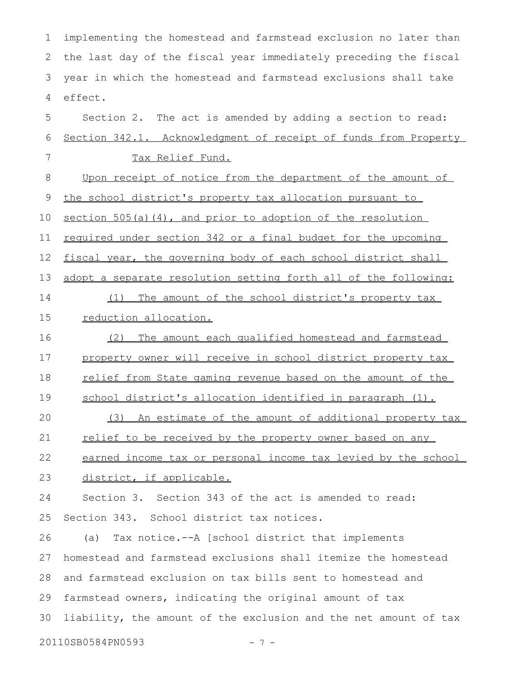implementing the homestead and farmstead exclusion no later than the last day of the fiscal year immediately preceding the fiscal year in which the homestead and farmstead exclusions shall take effect. 1 2 3 4

Section 2. The act is amended by adding a section to read: Section 342.1. Acknowledgment of receipt of funds from Property Tax Relief Fund. 5 6 7

Upon receipt of notice from the department of the amount of the school district's property tax allocation pursuant to section 505(a)(4), and prior to adoption of the resolution required under section 342 or a final budget for the upcoming fiscal year, the governing body of each school district shall adopt a separate resolution setting forth all of the following: (1) The amount of the school district's property tax 8 9 10 11 12 13 14

#### reduction allocation. 15

(2) The amount each qualified homestead and farmstead property owner will receive in school district property tax relief from State gaming revenue based on the amount of the 16 17 18

school district's allocation identified in paragraph (1). 19

(3) An estimate of the amount of additional property tax relief to be received by the property owner based on any 20 21

earned income tax or personal income tax levied by the school 22

district, if applicable. 23

Section 3. Section 343 of the act is amended to read: Section 343. School district tax notices. 24 25

(a) Tax notice.--A [school district that implements homestead and farmstead exclusions shall itemize the homestead and farmstead exclusion on tax bills sent to homestead and farmstead owners, indicating the original amount of tax liability, the amount of the exclusion and the net amount of tax 26 27 28 29 30

20110SB0584PN0593 - 7 -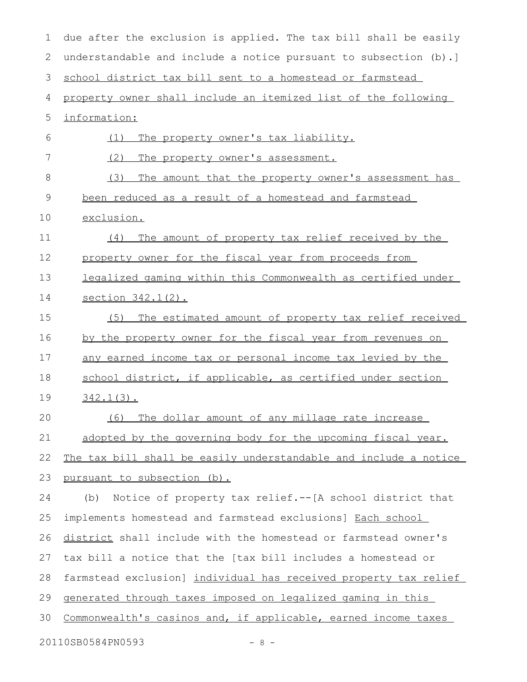due after the exclusion is applied. The tax bill shall be easily understandable and include a notice pursuant to subsection (b).] school district tax bill sent to a homestead or farmstead property owner shall include an itemized list of the following information: (1) The property owner's tax liability. (2) The property owner's assessment. (3) The amount that the property owner's assessment has been reduced as a result of a homestead and farmstead exclusion. (4) The amount of property tax relief received by the property owner for the fiscal year from proceeds from legalized gaming within this Commonwealth as certified under section 342.1(2). (5) The estimated amount of property tax relief received by the property owner for the fiscal year from revenues on any earned income tax or personal income tax levied by the school district, if applicable, as certified under section 342.1(3). (6) The dollar amount of any millage rate increase adopted by the governing body for the upcoming fiscal year. The tax bill shall be easily understandable and include a notice pursuant to subsection (b). (b) Notice of property tax relief.--[A school district that implements homestead and farmstead exclusions] Each school district shall include with the homestead or farmstead owner's tax bill a notice that the [tax bill includes a homestead or farmstead exclusion] individual has received property tax relief generated through taxes imposed on legalized gaming in this Commonwealth's casinos and, if applicable, earned income taxes 20110SB0584PN0593 - 8 - 1 2 3 4 5 6 7 8 9 10 11 12 13 14 15 16 17 18 19 20 21 22 23 24 25 26 27 28 29 30